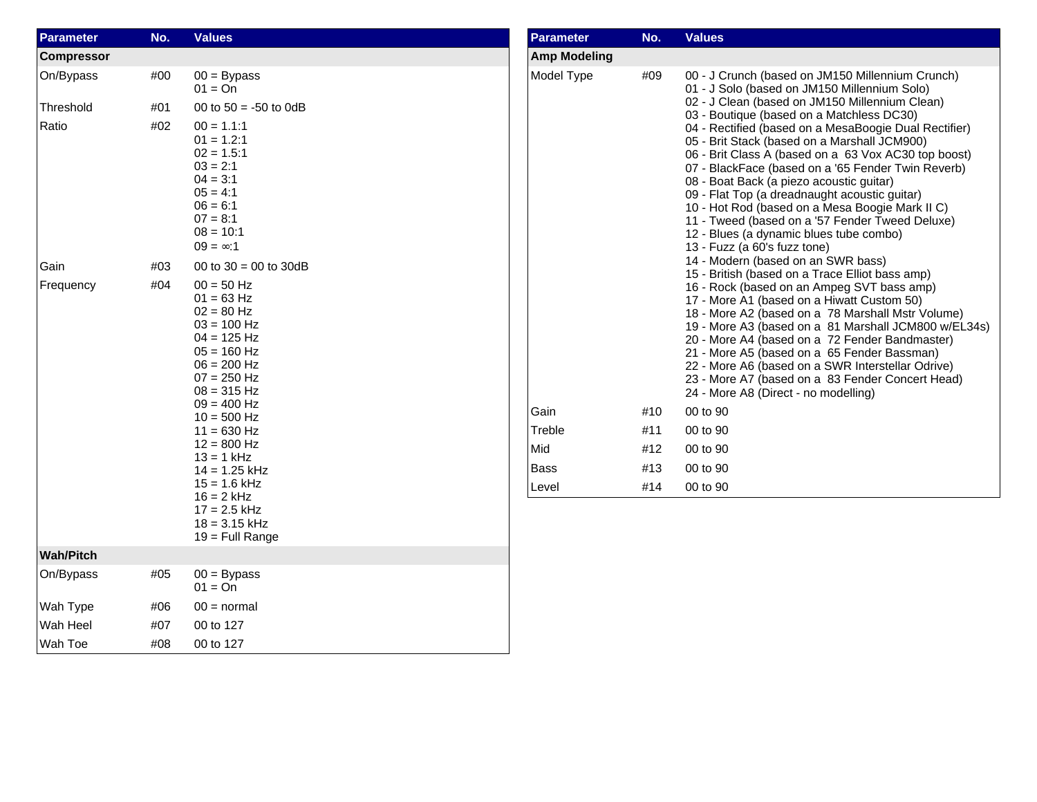| <b>Parameter</b>  | No. | <b>Values</b>                                                                                                                                        | <b>Parameter</b>    | No. | <b>Values</b>                                                                                                                                                                                                                                                                                                                                                                                                                                                                                     |  |
|-------------------|-----|------------------------------------------------------------------------------------------------------------------------------------------------------|---------------------|-----|---------------------------------------------------------------------------------------------------------------------------------------------------------------------------------------------------------------------------------------------------------------------------------------------------------------------------------------------------------------------------------------------------------------------------------------------------------------------------------------------------|--|
| <b>Compressor</b> |     |                                                                                                                                                      | <b>Amp Modeling</b> |     |                                                                                                                                                                                                                                                                                                                                                                                                                                                                                                   |  |
| On/Bypass         | #00 | $00 = Bypass$<br>$01 = On$                                                                                                                           | Model Type          | #09 | 00 - J Crunch (based on JM150 Millennium Crunch)<br>01 - J Solo (based on JM150 Millennium Solo)                                                                                                                                                                                                                                                                                                                                                                                                  |  |
| Threshold         | #01 | 00 to $50 = -50$ to 0dB                                                                                                                              |                     |     | 02 - J Clean (based on JM150 Millennium Clean)<br>03 - Boutique (based on a Matchless DC30)                                                                                                                                                                                                                                                                                                                                                                                                       |  |
| Ratio             | #02 | $00 = 1.1:1$<br>$01 = 1.2:1$<br>$02 = 1.5:1$<br>$03 = 2:1$<br>$04 = 3:1$<br>$05 = 4:1$<br>$06 = 6:1$<br>$07 = 8:1$<br>$08 = 10:1$<br>$09 = \infty:1$ |                     |     | 04 - Rectified (based on a MesaBoogie Dual Rectifier)<br>05 - Brit Stack (based on a Marshall JCM900)<br>06 - Brit Class A (based on a 63 Vox AC30 top boost)<br>07 - BlackFace (based on a '65 Fender Twin Reverb)<br>08 - Boat Back (a piezo acoustic guitar)<br>09 - Flat Top (a dreadnaught acoustic guitar)<br>10 - Hot Rod (based on a Mesa Boogie Mark II C)<br>11 - Tweed (based on a '57 Fender Tweed Deluxe)<br>12 - Blues (a dynamic blues tube combo)<br>13 - Fuzz (a 60's fuzz tone) |  |
| Gain              | #03 | 00 to $30 = 00$ to $30dB$                                                                                                                            |                     |     | 14 - Modern (based on an SWR bass)<br>15 - British (based on a Trace Elliot bass amp)                                                                                                                                                                                                                                                                                                                                                                                                             |  |
| Frequency         | #04 | $00 = 50$ Hz<br>$01 = 63$ Hz<br>$02 = 80$ Hz<br>$03 = 100$ Hz<br>$04 = 125$ Hz<br>$05 = 160$ Hz<br>$06 = 200$ Hz<br>$07 = 250$ Hz<br>$08 = 315$ Hz   |                     |     | 16 - Rock (based on an Ampeg SVT bass amp)<br>17 - More A1 (based on a Hiwatt Custom 50)<br>18 - More A2 (based on a 78 Marshall Mstr Volume)<br>19 - More A3 (based on a 81 Marshall JCM800 w/EL34s)<br>20 - More A4 (based on a 72 Fender Bandmaster)<br>21 - More A5 (based on a 65 Fender Bassman)<br>22 - More A6 (based on a SWR Interstellar Odrive)<br>23 - More A7 (based on a 83 Fender Concert Head)<br>24 - More A8 (Direct - no modelling)                                           |  |
|                   |     | $09 = 400$ Hz<br>$10 = 500$ Hz                                                                                                                       | Gain                | #10 | 00 to 90                                                                                                                                                                                                                                                                                                                                                                                                                                                                                          |  |
|                   |     | $11 = 630$ Hz                                                                                                                                        | Treble              | #11 | 00 to 90                                                                                                                                                                                                                                                                                                                                                                                                                                                                                          |  |
|                   |     | $12 = 800$ Hz<br>$13 = 1$ kHz                                                                                                                        | Mid                 | #12 | 00 to 90                                                                                                                                                                                                                                                                                                                                                                                                                                                                                          |  |
|                   |     | $14 = 1.25$ kHz                                                                                                                                      | <b>Bass</b>         | #13 | 00 to 90                                                                                                                                                                                                                                                                                                                                                                                                                                                                                          |  |
|                   |     | $15 = 1.6$ kHz<br>$16 = 2$ kHz<br>$17 = 2.5$ kHz<br>$18 = 3.15$ kHz<br>$19$ = Full Range                                                             | Level               | #14 | 00 to 90                                                                                                                                                                                                                                                                                                                                                                                                                                                                                          |  |
| <b>Wah/Pitch</b>  |     |                                                                                                                                                      |                     |     |                                                                                                                                                                                                                                                                                                                                                                                                                                                                                                   |  |
| On/Bypass         | #05 | $00 = Bypass$<br>$01 = On$                                                                                                                           |                     |     |                                                                                                                                                                                                                                                                                                                                                                                                                                                                                                   |  |
| Wah Type          | #06 | $00 = normal$                                                                                                                                        |                     |     |                                                                                                                                                                                                                                                                                                                                                                                                                                                                                                   |  |
| Wah Heel          | #07 | 00 to 127                                                                                                                                            |                     |     |                                                                                                                                                                                                                                                                                                                                                                                                                                                                                                   |  |
| Wah Toe           | #08 | 00 to 127                                                                                                                                            |                     |     |                                                                                                                                                                                                                                                                                                                                                                                                                                                                                                   |  |